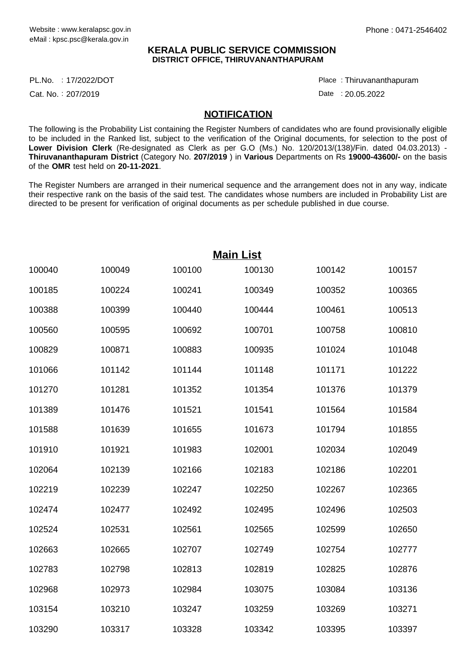#### **KERALA PUBLIC SERVICE COMMISSION DISTRICT OFFICE, THIRUVANANTHAPURAM**

17/2022/DOT Place : PL.No.

Cat. No.: 207/2019

Thiruvananthapuram :

Date : 20.05.2022

#### **NOTIFICATION**

The following is the Probability List containing the Register Numbers of candidates who are found provisionally eligible to be included in the Ranked list, subject to the verification of the Original documents, for selection to the post of **Lower Division Clerk** (Re-designated as Clerk as per G.O (Ms.) No. 120/2013/(138)/Fin. dated 04.03.2013) - **Thiruvananthapuram District** (Category No. **207/2019** ) in **Various** Departments on Rs **19000-43600/-** on the basis of the **OMR** test held on **20-11-2021**.

The Register Numbers are arranged in their numerical sequence and the arrangement does not in any way, indicate their respective rank on the basis of the said test. The candidates whose numbers are included in Probability List are directed to be present for verification of original documents as per schedule published in due course.

|        |        |        | <b>Main List</b> |        |        |
|--------|--------|--------|------------------|--------|--------|
| 100040 | 100049 | 100100 | 100130           | 100142 | 100157 |
| 100185 | 100224 | 100241 | 100349           | 100352 | 100365 |
| 100388 | 100399 | 100440 | 100444           | 100461 | 100513 |
| 100560 | 100595 | 100692 | 100701           | 100758 | 100810 |
| 100829 | 100871 | 100883 | 100935           | 101024 | 101048 |
| 101066 | 101142 | 101144 | 101148           | 101171 | 101222 |
| 101270 | 101281 | 101352 | 101354           | 101376 | 101379 |
| 101389 | 101476 | 101521 | 101541           | 101564 | 101584 |
| 101588 | 101639 | 101655 | 101673           | 101794 | 101855 |
| 101910 | 101921 | 101983 | 102001           | 102034 | 102049 |
| 102064 | 102139 | 102166 | 102183           | 102186 | 102201 |
| 102219 | 102239 | 102247 | 102250           | 102267 | 102365 |
| 102474 | 102477 | 102492 | 102495           | 102496 | 102503 |
| 102524 | 102531 | 102561 | 102565           | 102599 | 102650 |
| 102663 | 102665 | 102707 | 102749           | 102754 | 102777 |
| 102783 | 102798 | 102813 | 102819           | 102825 | 102876 |
| 102968 | 102973 | 102984 | 103075           | 103084 | 103136 |
| 103154 | 103210 | 103247 | 103259           | 103269 | 103271 |
| 103290 | 103317 | 103328 | 103342           | 103395 | 103397 |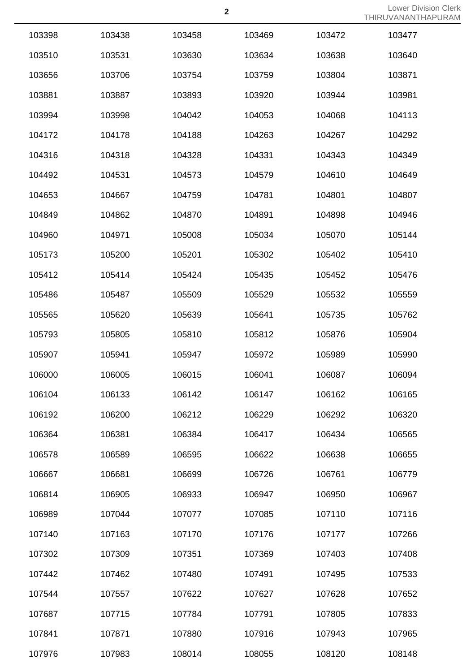| 103398 | 103438 | 103458 | 103469 | 103472 | 103477 |
|--------|--------|--------|--------|--------|--------|
| 103510 | 103531 | 103630 | 103634 | 103638 | 103640 |
| 103656 | 103706 | 103754 | 103759 | 103804 | 103871 |
| 103881 | 103887 | 103893 | 103920 | 103944 | 103981 |
| 103994 | 103998 | 104042 | 104053 | 104068 | 104113 |
| 104172 | 104178 | 104188 | 104263 | 104267 | 104292 |
| 104316 | 104318 | 104328 | 104331 | 104343 | 104349 |
| 104492 | 104531 | 104573 | 104579 | 104610 | 104649 |
| 104653 | 104667 | 104759 | 104781 | 104801 | 104807 |
| 104849 | 104862 | 104870 | 104891 | 104898 | 104946 |
| 104960 | 104971 | 105008 | 105034 | 105070 | 105144 |
| 105173 | 105200 | 105201 | 105302 | 105402 | 105410 |
| 105412 | 105414 | 105424 | 105435 | 105452 | 105476 |
| 105486 | 105487 | 105509 | 105529 | 105532 | 105559 |
| 105565 | 105620 | 105639 | 105641 | 105735 | 105762 |
| 105793 | 105805 | 105810 | 105812 | 105876 | 105904 |
| 105907 | 105941 | 105947 | 105972 | 105989 | 105990 |
| 106000 | 106005 | 106015 | 106041 | 106087 | 106094 |
| 106104 | 106133 | 106142 | 106147 | 106162 | 106165 |
| 106192 | 106200 | 106212 | 106229 | 106292 | 106320 |
| 106364 | 106381 | 106384 | 106417 | 106434 | 106565 |
| 106578 | 106589 | 106595 | 106622 | 106638 | 106655 |
| 106667 | 106681 | 106699 | 106726 | 106761 | 106779 |
| 106814 | 106905 | 106933 | 106947 | 106950 | 106967 |
| 106989 | 107044 | 107077 | 107085 | 107110 | 107116 |
| 107140 | 107163 | 107170 | 107176 | 107177 | 107266 |
| 107302 | 107309 | 107351 | 107369 | 107403 | 107408 |
| 107442 | 107462 | 107480 | 107491 | 107495 | 107533 |
| 107544 | 107557 | 107622 | 107627 | 107628 | 107652 |
| 107687 | 107715 | 107784 | 107791 | 107805 | 107833 |
| 107841 | 107871 | 107880 | 107916 | 107943 | 107965 |
| 107976 | 107983 | 108014 | 108055 | 108120 | 108148 |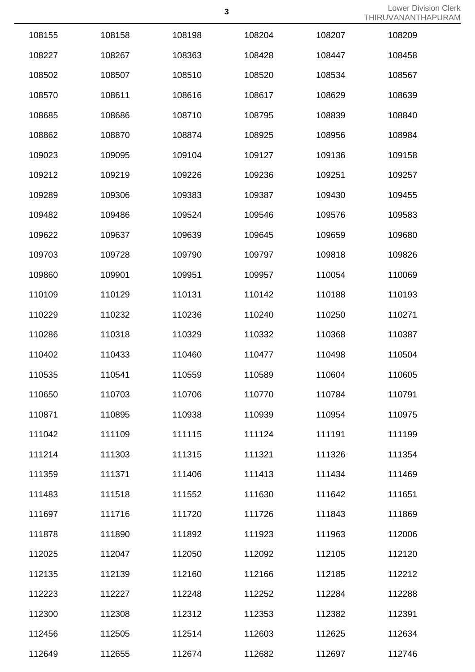| 108155 | 108158 | 108198 | 108204 | 108207 | 108209 |
|--------|--------|--------|--------|--------|--------|
| 108227 | 108267 | 108363 | 108428 | 108447 | 108458 |
| 108502 | 108507 | 108510 | 108520 | 108534 | 108567 |
| 108570 | 108611 | 108616 | 108617 | 108629 | 108639 |
| 108685 | 108686 | 108710 | 108795 | 108839 | 108840 |
| 108862 | 108870 | 108874 | 108925 | 108956 | 108984 |
| 109023 | 109095 | 109104 | 109127 | 109136 | 109158 |
| 109212 | 109219 | 109226 | 109236 | 109251 | 109257 |
| 109289 | 109306 | 109383 | 109387 | 109430 | 109455 |
| 109482 | 109486 | 109524 | 109546 | 109576 | 109583 |
| 109622 | 109637 | 109639 | 109645 | 109659 | 109680 |
| 109703 | 109728 | 109790 | 109797 | 109818 | 109826 |
| 109860 | 109901 | 109951 | 109957 | 110054 | 110069 |
| 110109 | 110129 | 110131 | 110142 | 110188 | 110193 |
| 110229 | 110232 | 110236 | 110240 | 110250 | 110271 |
| 110286 | 110318 | 110329 | 110332 | 110368 | 110387 |
| 110402 | 110433 | 110460 | 110477 | 110498 | 110504 |
| 110535 | 110541 | 110559 | 110589 | 110604 | 110605 |
| 110650 | 110703 | 110706 | 110770 | 110784 | 110791 |
| 110871 | 110895 | 110938 | 110939 | 110954 | 110975 |
| 111042 | 111109 | 111115 | 111124 | 111191 | 111199 |
| 111214 | 111303 | 111315 | 111321 | 111326 | 111354 |
| 111359 | 111371 | 111406 | 111413 | 111434 | 111469 |
| 111483 | 111518 | 111552 | 111630 | 111642 | 111651 |
| 111697 | 111716 | 111720 | 111726 | 111843 | 111869 |
| 111878 | 111890 | 111892 | 111923 | 111963 | 112006 |
| 112025 | 112047 | 112050 | 112092 | 112105 | 112120 |
| 112135 | 112139 | 112160 | 112166 | 112185 | 112212 |
| 112223 | 112227 | 112248 | 112252 | 112284 | 112288 |
| 112300 | 112308 | 112312 | 112353 | 112382 | 112391 |
| 112456 | 112505 | 112514 | 112603 | 112625 | 112634 |
| 112649 | 112655 | 112674 | 112682 | 112697 | 112746 |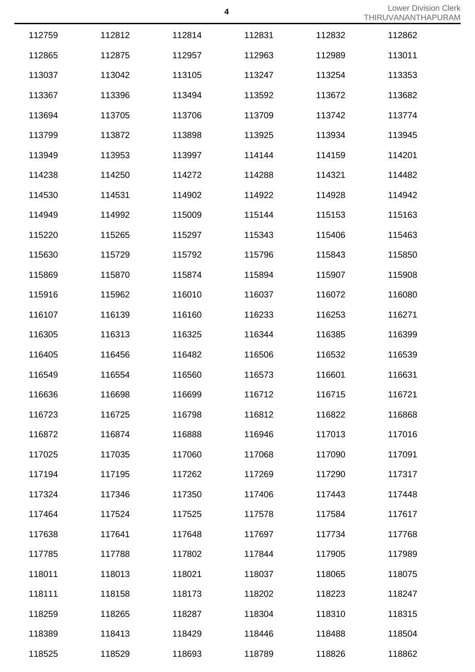|        |        |        |        |        | 11 111 \ U V / \ I \ I \ I \ I I I I I I |
|--------|--------|--------|--------|--------|------------------------------------------|
| 112759 | 112812 | 112814 | 112831 | 112832 | 112862                                   |
| 112865 | 112875 | 112957 | 112963 | 112989 | 113011                                   |
| 113037 | 113042 | 113105 | 113247 | 113254 | 113353                                   |
| 113367 | 113396 | 113494 | 113592 | 113672 | 113682                                   |
| 113694 | 113705 | 113706 | 113709 | 113742 | 113774                                   |
| 113799 | 113872 | 113898 | 113925 | 113934 | 113945                                   |
| 113949 | 113953 | 113997 | 114144 | 114159 | 114201                                   |
| 114238 | 114250 | 114272 | 114288 | 114321 | 114482                                   |
| 114530 | 114531 | 114902 | 114922 | 114928 | 114942                                   |
| 114949 | 114992 | 115009 | 115144 | 115153 | 115163                                   |
| 115220 | 115265 | 115297 | 115343 | 115406 | 115463                                   |
| 115630 | 115729 | 115792 | 115796 | 115843 | 115850                                   |
| 115869 | 115870 | 115874 | 115894 | 115907 | 115908                                   |
| 115916 | 115962 | 116010 | 116037 | 116072 | 116080                                   |
| 116107 | 116139 | 116160 | 116233 | 116253 | 116271                                   |
| 116305 | 116313 | 116325 | 116344 | 116385 | 116399                                   |
| 116405 | 116456 | 116482 | 116506 | 116532 | 116539                                   |
| 116549 | 116554 | 116560 | 116573 | 116601 | 116631                                   |
| 116636 | 116698 | 116699 | 116712 | 116715 | 116721                                   |
| 116723 | 116725 | 116798 | 116812 | 116822 | 116868                                   |
| 116872 | 116874 | 116888 | 116946 | 117013 | 117016                                   |
| 117025 | 117035 | 117060 | 117068 | 117090 | 117091                                   |
| 117194 | 117195 | 117262 | 117269 | 117290 | 117317                                   |
| 117324 | 117346 | 117350 | 117406 | 117443 | 117448                                   |
| 117464 | 117524 | 117525 | 117578 | 117584 | 117617                                   |
| 117638 | 117641 | 117648 | 117697 | 117734 | 117768                                   |
| 117785 | 117788 | 117802 | 117844 | 117905 | 117989                                   |
| 118011 | 118013 | 118021 | 118037 | 118065 | 118075                                   |
| 118111 | 118158 | 118173 | 118202 | 118223 | 118247                                   |
| 118259 | 118265 | 118287 | 118304 | 118310 | 118315                                   |
| 118389 | 118413 | 118429 | 118446 | 118488 | 118504                                   |
| 118525 | 118529 | 118693 | 118789 | 118826 | 118862                                   |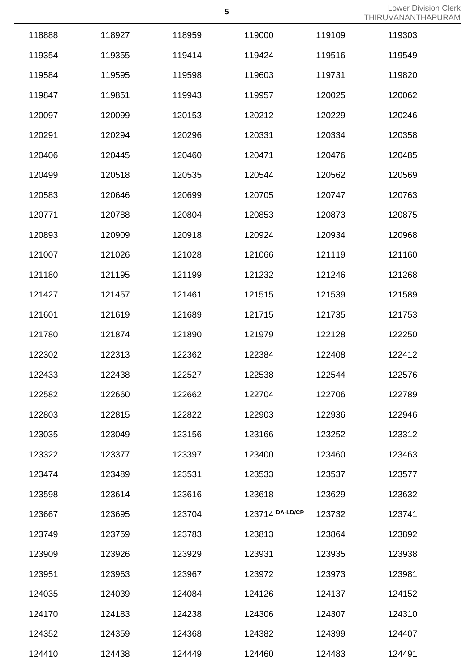| 118888 | 118927 | 118959 | 119000          | 119109 | 119303 |
|--------|--------|--------|-----------------|--------|--------|
| 119354 | 119355 | 119414 | 119424          | 119516 | 119549 |
| 119584 | 119595 | 119598 | 119603          | 119731 | 119820 |
| 119847 | 119851 | 119943 | 119957          | 120025 | 120062 |
| 120097 | 120099 | 120153 | 120212          | 120229 | 120246 |
| 120291 | 120294 | 120296 | 120331          | 120334 | 120358 |
| 120406 | 120445 | 120460 | 120471          | 120476 | 120485 |
| 120499 | 120518 | 120535 | 120544          | 120562 | 120569 |
| 120583 | 120646 | 120699 | 120705          | 120747 | 120763 |
| 120771 | 120788 | 120804 | 120853          | 120873 | 120875 |
| 120893 | 120909 | 120918 | 120924          | 120934 | 120968 |
| 121007 | 121026 | 121028 | 121066          | 121119 | 121160 |
| 121180 | 121195 | 121199 | 121232          | 121246 | 121268 |
| 121427 | 121457 | 121461 | 121515          | 121539 | 121589 |
| 121601 | 121619 | 121689 | 121715          | 121735 | 121753 |
| 121780 | 121874 | 121890 | 121979          | 122128 | 122250 |
| 122302 | 122313 | 122362 | 122384          | 122408 | 122412 |
| 122433 | 122438 | 122527 | 122538          | 122544 | 122576 |
| 122582 | 122660 | 122662 | 122704          | 122706 | 122789 |
| 122803 | 122815 | 122822 | 122903          | 122936 | 122946 |
| 123035 | 123049 | 123156 | 123166          | 123252 | 123312 |
| 123322 | 123377 | 123397 | 123400          | 123460 | 123463 |
| 123474 | 123489 | 123531 | 123533          | 123537 | 123577 |
| 123598 | 123614 | 123616 | 123618          | 123629 | 123632 |
| 123667 | 123695 | 123704 | 123714 DA-LD/CP | 123732 | 123741 |
| 123749 | 123759 | 123783 | 123813          | 123864 | 123892 |
| 123909 | 123926 | 123929 | 123931          | 123935 | 123938 |
| 123951 | 123963 | 123967 | 123972          | 123973 | 123981 |
| 124035 | 124039 | 124084 | 124126          | 124137 | 124152 |
| 124170 | 124183 | 124238 | 124306          | 124307 | 124310 |
| 124352 | 124359 | 124368 | 124382          | 124399 | 124407 |
| 124410 | 124438 | 124449 | 124460          | 124483 | 124491 |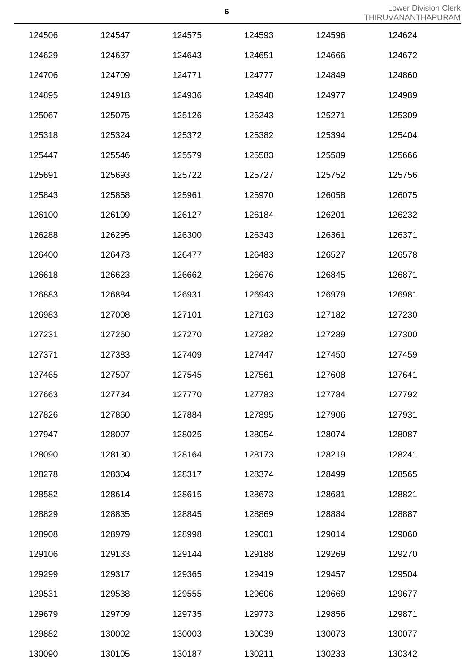|        |        |        |        |        | <u>IIIIINUVAINAINIIIA</u> |
|--------|--------|--------|--------|--------|---------------------------|
| 124506 | 124547 | 124575 | 124593 | 124596 | 124624                    |
| 124629 | 124637 | 124643 | 124651 | 124666 | 124672                    |
| 124706 | 124709 | 124771 | 124777 | 124849 | 124860                    |
| 124895 | 124918 | 124936 | 124948 | 124977 | 124989                    |
| 125067 | 125075 | 125126 | 125243 | 125271 | 125309                    |
| 125318 | 125324 | 125372 | 125382 | 125394 | 125404                    |
| 125447 | 125546 | 125579 | 125583 | 125589 | 125666                    |
| 125691 | 125693 | 125722 | 125727 | 125752 | 125756                    |
| 125843 | 125858 | 125961 | 125970 | 126058 | 126075                    |
| 126100 | 126109 | 126127 | 126184 | 126201 | 126232                    |
| 126288 | 126295 | 126300 | 126343 | 126361 | 126371                    |
| 126400 | 126473 | 126477 | 126483 | 126527 | 126578                    |
| 126618 | 126623 | 126662 | 126676 | 126845 | 126871                    |
| 126883 | 126884 | 126931 | 126943 | 126979 | 126981                    |
| 126983 | 127008 | 127101 | 127163 | 127182 | 127230                    |
| 127231 | 127260 | 127270 | 127282 | 127289 | 127300                    |
| 127371 | 127383 | 127409 | 127447 | 127450 | 127459                    |
| 127465 | 127507 | 127545 | 127561 | 127608 | 127641                    |
| 127663 | 127734 | 127770 | 127783 | 127784 | 127792                    |
| 127826 | 127860 | 127884 | 127895 | 127906 | 127931                    |
| 127947 | 128007 | 128025 | 128054 | 128074 | 128087                    |
| 128090 | 128130 | 128164 | 128173 | 128219 | 128241                    |
| 128278 | 128304 | 128317 | 128374 | 128499 | 128565                    |
| 128582 | 128614 | 128615 | 128673 | 128681 | 128821                    |
| 128829 | 128835 | 128845 | 128869 | 128884 | 128887                    |
| 128908 | 128979 | 128998 | 129001 | 129014 | 129060                    |
| 129106 | 129133 | 129144 | 129188 | 129269 | 129270                    |
| 129299 | 129317 | 129365 | 129419 | 129457 | 129504                    |
| 129531 | 129538 | 129555 | 129606 | 129669 | 129677                    |
| 129679 | 129709 | 129735 | 129773 | 129856 | 129871                    |
| 129882 | 130002 | 130003 | 130039 | 130073 | 130077                    |
| 130090 | 130105 | 130187 | 130211 | 130233 | 130342                    |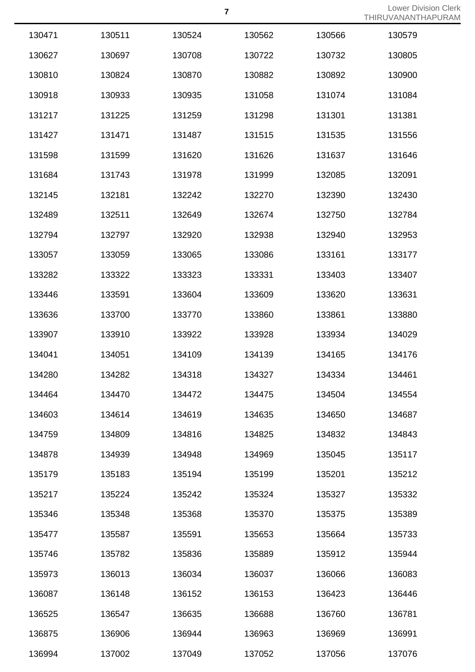| 130471 | 130511 | 130524 | 130562 | 130566 | 130579 |
|--------|--------|--------|--------|--------|--------|
| 130627 | 130697 | 130708 | 130722 | 130732 | 130805 |
| 130810 | 130824 | 130870 | 130882 | 130892 | 130900 |
| 130918 | 130933 | 130935 | 131058 | 131074 | 131084 |
| 131217 | 131225 | 131259 | 131298 | 131301 | 131381 |
| 131427 | 131471 | 131487 | 131515 | 131535 | 131556 |
| 131598 | 131599 | 131620 | 131626 | 131637 | 131646 |
| 131684 | 131743 | 131978 | 131999 | 132085 | 132091 |
| 132145 | 132181 | 132242 | 132270 | 132390 | 132430 |
| 132489 | 132511 | 132649 | 132674 | 132750 | 132784 |
| 132794 | 132797 | 132920 | 132938 | 132940 | 132953 |
| 133057 | 133059 | 133065 | 133086 | 133161 | 133177 |
| 133282 | 133322 | 133323 | 133331 | 133403 | 133407 |
| 133446 | 133591 | 133604 | 133609 | 133620 | 133631 |
| 133636 | 133700 | 133770 | 133860 | 133861 | 133880 |
| 133907 | 133910 | 133922 | 133928 | 133934 | 134029 |
| 134041 | 134051 | 134109 | 134139 | 134165 | 134176 |
| 134280 | 134282 | 134318 | 134327 | 134334 | 134461 |
| 134464 | 134470 | 134472 | 134475 | 134504 | 134554 |
| 134603 | 134614 | 134619 | 134635 | 134650 | 134687 |
| 134759 | 134809 | 134816 | 134825 | 134832 | 134843 |
| 134878 | 134939 | 134948 | 134969 | 135045 | 135117 |
| 135179 | 135183 | 135194 | 135199 | 135201 | 135212 |
| 135217 | 135224 | 135242 | 135324 | 135327 | 135332 |
| 135346 | 135348 | 135368 | 135370 | 135375 | 135389 |
| 135477 | 135587 | 135591 | 135653 | 135664 | 135733 |
| 135746 | 135782 | 135836 | 135889 | 135912 | 135944 |
| 135973 | 136013 | 136034 | 136037 | 136066 | 136083 |
| 136087 | 136148 | 136152 | 136153 | 136423 | 136446 |
| 136525 | 136547 | 136635 | 136688 | 136760 | 136781 |
| 136875 | 136906 | 136944 | 136963 | 136969 | 136991 |
| 136994 | 137002 | 137049 | 137052 | 137056 | 137076 |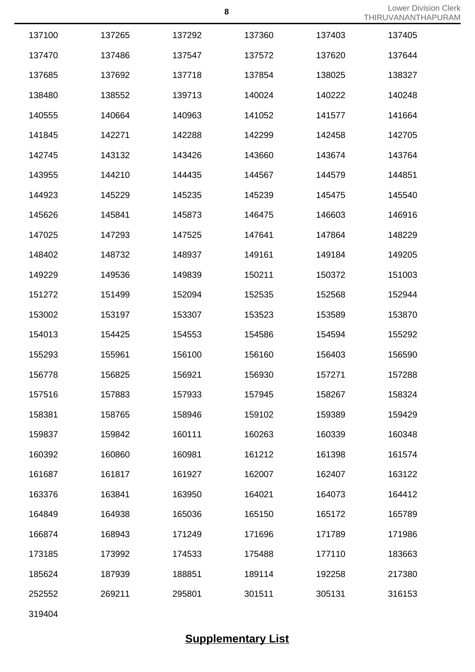|                    | <b>Lower Division Clerk</b> |  |
|--------------------|-----------------------------|--|
| THIRUVANANTHAPURAM |                             |  |

|        |        |        |        |        | 11 111 \ U V / \ I \ I \ I \ I I I I I |
|--------|--------|--------|--------|--------|----------------------------------------|
| 137100 | 137265 | 137292 | 137360 | 137403 | 137405                                 |
| 137470 | 137486 | 137547 | 137572 | 137620 | 137644                                 |
| 137685 | 137692 | 137718 | 137854 | 138025 | 138327                                 |
| 138480 | 138552 | 139713 | 140024 | 140222 | 140248                                 |
| 140555 | 140664 | 140963 | 141052 | 141577 | 141664                                 |
| 141845 | 142271 | 142288 | 142299 | 142458 | 142705                                 |
| 142745 | 143132 | 143426 | 143660 | 143674 | 143764                                 |
| 143955 | 144210 | 144435 | 144567 | 144579 | 144851                                 |
| 144923 | 145229 | 145235 | 145239 | 145475 | 145540                                 |
| 145626 | 145841 | 145873 | 146475 | 146603 | 146916                                 |
| 147025 | 147293 | 147525 | 147641 | 147864 | 148229                                 |
| 148402 | 148732 | 148937 | 149161 | 149184 | 149205                                 |
| 149229 | 149536 | 149839 | 150211 | 150372 | 151003                                 |
| 151272 | 151499 | 152094 | 152535 | 152568 | 152944                                 |
| 153002 | 153197 | 153307 | 153523 | 153589 | 153870                                 |
| 154013 | 154425 | 154553 | 154586 | 154594 | 155292                                 |
| 155293 | 155961 | 156100 | 156160 | 156403 | 156590                                 |
| 156778 | 156825 | 156921 | 156930 | 157271 | 157288                                 |
| 157516 | 157883 | 157933 | 157945 | 158267 | 158324                                 |
| 158381 | 158765 | 158946 | 159102 | 159389 | 159429                                 |
| 159837 | 159842 | 160111 | 160263 | 160339 | 160348                                 |
| 160392 | 160860 | 160981 | 161212 | 161398 | 161574                                 |
| 161687 | 161817 | 161927 | 162007 | 162407 | 163122                                 |
| 163376 | 163841 | 163950 | 164021 | 164073 | 164412                                 |
| 164849 | 164938 | 165036 | 165150 | 165172 | 165789                                 |
| 166874 | 168943 | 171249 | 171696 | 171789 | 171986                                 |
| 173185 | 173992 | 174533 | 175488 | 177110 | 183663                                 |
| 185624 | 187939 | 188851 | 189114 | 192258 | 217380                                 |
| 252552 | 269211 | 295801 | 301511 | 305131 | 316153                                 |
| 319404 |        |        |        |        |                                        |

**Supplementary List**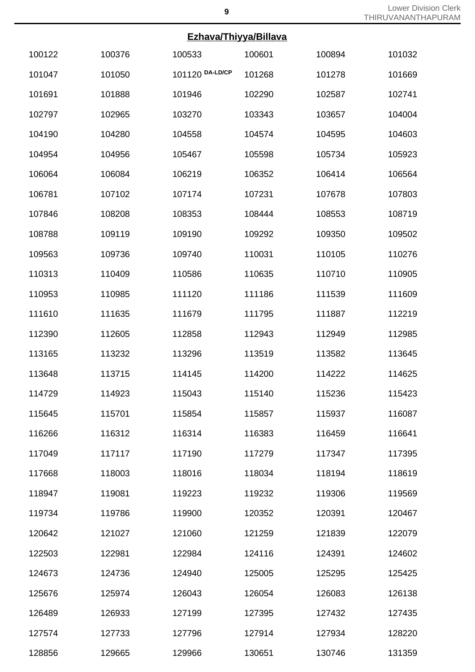### **Ezhava/Thiyya/Billava**

|        |        | <u>EZIIdva/TIIIyya/DIIIdva</u> |        |        |        |
|--------|--------|--------------------------------|--------|--------|--------|
| 100122 | 100376 | 100533                         | 100601 | 100894 | 101032 |
| 101047 | 101050 | 101120 DA-LD/CP                | 101268 | 101278 | 101669 |
| 101691 | 101888 | 101946                         | 102290 | 102587 | 102741 |
| 102797 | 102965 | 103270                         | 103343 | 103657 | 104004 |
| 104190 | 104280 | 104558                         | 104574 | 104595 | 104603 |
| 104954 | 104956 | 105467                         | 105598 | 105734 | 105923 |
| 106064 | 106084 | 106219                         | 106352 | 106414 | 106564 |
| 106781 | 107102 | 107174                         | 107231 | 107678 | 107803 |
| 107846 | 108208 | 108353                         | 108444 | 108553 | 108719 |
| 108788 | 109119 | 109190                         | 109292 | 109350 | 109502 |
| 109563 | 109736 | 109740                         | 110031 | 110105 | 110276 |
| 110313 | 110409 | 110586                         | 110635 | 110710 | 110905 |
| 110953 | 110985 | 111120                         | 111186 | 111539 | 111609 |
| 111610 | 111635 | 111679                         | 111795 | 111887 | 112219 |
| 112390 | 112605 | 112858                         | 112943 | 112949 | 112985 |
| 113165 | 113232 | 113296                         | 113519 | 113582 | 113645 |
| 113648 | 113715 | 114145                         | 114200 | 114222 | 114625 |
| 114729 | 114923 | 115043                         | 115140 | 115236 | 115423 |
| 115645 | 115701 | 115854                         | 115857 | 115937 | 116087 |
| 116266 | 116312 | 116314                         | 116383 | 116459 | 116641 |
| 117049 | 117117 | 117190                         | 117279 | 117347 | 117395 |
| 117668 | 118003 | 118016                         | 118034 | 118194 | 118619 |
| 118947 | 119081 | 119223                         | 119232 | 119306 | 119569 |
| 119734 | 119786 | 119900                         | 120352 | 120391 | 120467 |
| 120642 | 121027 | 121060                         | 121259 | 121839 | 122079 |
| 122503 | 122981 | 122984                         | 124116 | 124391 | 124602 |
| 124673 | 124736 | 124940                         | 125005 | 125295 | 125425 |
| 125676 | 125974 | 126043                         | 126054 | 126083 | 126138 |
| 126489 | 126933 | 127199                         | 127395 | 127432 | 127435 |
| 127574 | 127733 | 127796                         | 127914 | 127934 | 128220 |
| 128856 | 129665 | 129966                         | 130651 | 130746 | 131359 |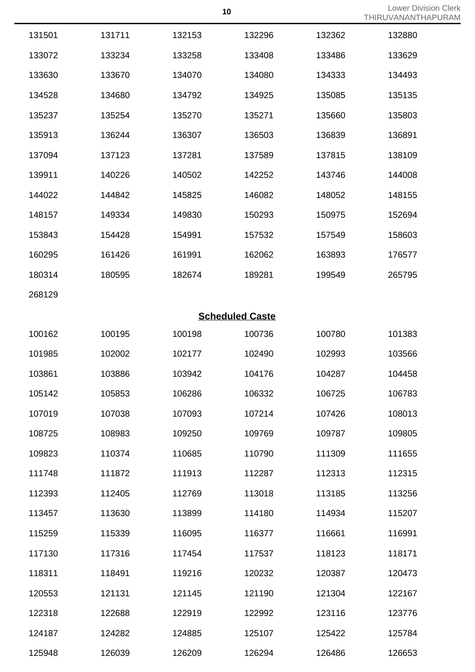|        |        |        |                        |        | <u>I HIRUVANAN I H</u> |
|--------|--------|--------|------------------------|--------|------------------------|
| 131501 | 131711 | 132153 | 132296                 | 132362 | 132880                 |
| 133072 | 133234 | 133258 | 133408                 | 133486 | 133629                 |
| 133630 | 133670 | 134070 | 134080                 | 134333 | 134493                 |
| 134528 | 134680 | 134792 | 134925                 | 135085 | 135135                 |
| 135237 | 135254 | 135270 | 135271                 | 135660 | 135803                 |
| 135913 | 136244 | 136307 | 136503                 | 136839 | 136891                 |
| 137094 | 137123 | 137281 | 137589                 | 137815 | 138109                 |
| 139911 | 140226 | 140502 | 142252                 | 143746 | 144008                 |
| 144022 | 144842 | 145825 | 146082                 | 148052 | 148155                 |
| 148157 | 149334 | 149830 | 150293                 | 150975 | 152694                 |
| 153843 | 154428 | 154991 | 157532                 | 157549 | 158603                 |
| 160295 | 161426 | 161991 | 162062                 | 163893 | 176577                 |
| 180314 | 180595 | 182674 | 189281                 | 199549 | 265795                 |
| 268129 |        |        |                        |        |                        |
|        |        |        | <b>Scheduled Caste</b> |        |                        |
| 100162 | 100195 | 100198 | 100736                 | 100780 | 101383                 |
| 101985 | 102002 | 102177 | 102490                 | 102993 | 103566                 |
| 103861 | 103886 | 103942 | 104176                 | 104287 | 104458                 |
| 105142 | 105853 | 106286 | 106332                 | 106725 | 106783                 |
| 107019 | 107038 | 107093 | 107214                 | 107426 | 108013                 |
| 108725 | 108983 | 109250 | 109769                 | 109787 | 109805                 |
| 109823 | 110374 | 110685 | 110790                 | 111309 | 111655                 |
| 111748 | 111872 | 111913 | 112287                 | 112313 | 112315                 |
| 112393 | 112405 | 112769 | 113018                 | 113185 | 113256                 |
| 113457 | 113630 | 113899 | 114180                 | 114934 | 115207                 |
| 115259 | 115339 | 116095 | 116377                 | 116661 | 116991                 |
| 117130 | 117316 | 117454 | 117537                 | 118123 | 118171                 |
| 118311 | 118491 | 119216 | 120232                 | 120387 | 120473                 |
| 120553 | 121131 | 121145 | 121190                 | 121304 | 122167                 |
| 122318 | 122688 | 122919 | 122992                 | 123116 | 123776                 |
| 124187 | 124282 | 124885 | 125107                 | 125422 | 125784                 |
| 125948 | 126039 | 126209 | 126294                 | 126486 | 126653                 |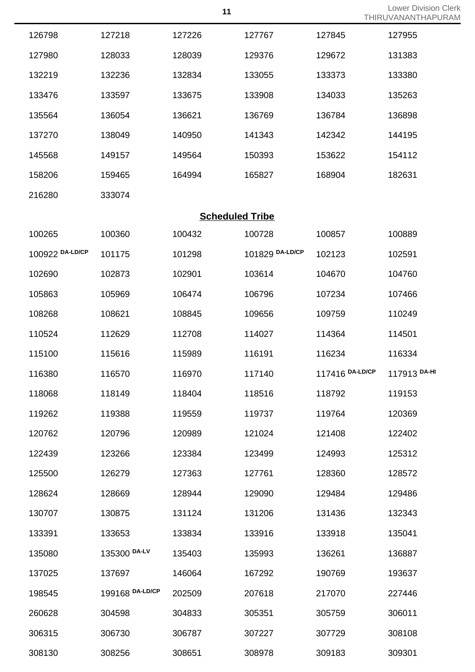| 126798                 | 127218       | 127226 | 127767          | 127845          | 127955       |  |  |  |
|------------------------|--------------|--------|-----------------|-----------------|--------------|--|--|--|
| 127980                 | 128033       | 128039 | 129376          | 129672          | 131383       |  |  |  |
| 132219                 | 132236       | 132834 | 133055          | 133373          | 133380       |  |  |  |
| 133476                 | 133597       | 133675 | 133908          | 134033          | 135263       |  |  |  |
| 135564                 | 136054       | 136621 | 136769          | 136784          | 136898       |  |  |  |
| 137270                 | 138049       | 140950 | 141343          | 142342          | 144195       |  |  |  |
| 145568                 | 149157       | 149564 | 150393          | 153622          | 154112       |  |  |  |
| 158206                 | 159465       | 164994 | 165827          | 168904          | 182631       |  |  |  |
| 216280                 | 333074       |        |                 |                 |              |  |  |  |
| <b>Scheduled Tribe</b> |              |        |                 |                 |              |  |  |  |
| 100265                 | 100360       | 100432 | 100728          | 100857          | 100889       |  |  |  |
| 100922 DA-LD/CP        | 101175       | 101298 | 101829 DA-LD/CP | 102123          | 102591       |  |  |  |
| 102690                 | 102873       | 102901 | 103614          | 104670          | 104760       |  |  |  |
| 105863                 | 105969       | 106474 | 106796          | 107234          | 107466       |  |  |  |
| 108268                 | 108621       | 108845 | 109656          | 109759          | 110249       |  |  |  |
| 110524                 | 112629       | 112708 | 114027          | 114364          | 114501       |  |  |  |
| 115100                 | 115616       | 115989 | 116191          | 116234          | 116334       |  |  |  |
| 116380                 | 116570       | 116970 | 117140          | 117416 DA-LD/CP | 117913 DA-HI |  |  |  |
| 118068                 | 118149       | 118404 | 118516          | 118792          | 119153       |  |  |  |
| 119262                 | 119388       | 119559 | 119737          | 119764          | 120369       |  |  |  |
| 120762                 | 120796       | 120989 | 121024          | 121408          | 122402       |  |  |  |
| 122439                 | 123266       | 123384 | 123499          | 124993          | 125312       |  |  |  |
| 125500                 | 126279       | 127363 | 127761          | 128360          | 128572       |  |  |  |
| 128624                 | 128669       | 128944 | 129090          | 129484          | 129486       |  |  |  |
| 130707                 | 130875       | 131124 | 131206          | 131436          | 132343       |  |  |  |
| 133391                 | 133653       | 133834 | 133916          | 133918          | 135041       |  |  |  |
| 135080                 | 135300 DA-LV | 135403 | 135993          | 136261          | 136887       |  |  |  |

137697 146064 167292 190769 193637

199168 **DA-LD/CP** 202509 207618 217070 227446

304598 304833 305351 305759 306011

306730 306787 307227 307729 308108

308256 308651 308978 309183 309301

Lower Division Clerk

THIRUVANANTHAPURAM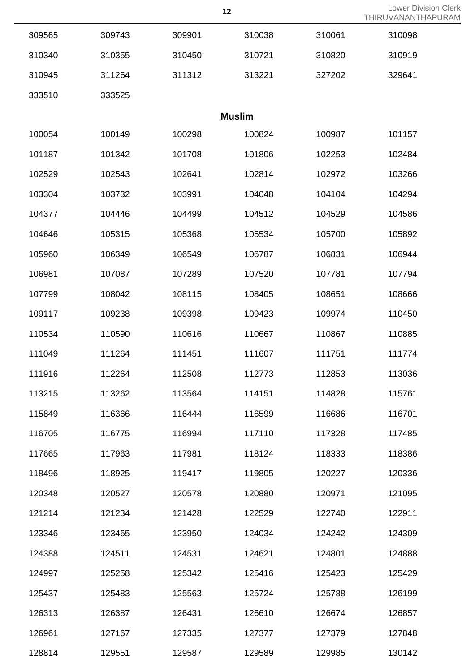| 309565 | 309743 | 309901        | 310038 | 310061 | 310098 |
|--------|--------|---------------|--------|--------|--------|
| 310340 | 310355 | 310450        | 310721 | 310820 | 310919 |
| 310945 | 311264 | 311312        | 313221 | 327202 | 329641 |
| 333510 | 333525 |               |        |        |        |
|        |        | <b>Muslim</b> |        |        |        |
| 100054 | 100149 | 100298        | 100824 | 100987 | 101157 |
| 101187 | 101342 | 101708        | 101806 | 102253 | 102484 |
| 102529 | 102543 | 102641        | 102814 | 102972 | 103266 |
| 103304 | 103732 | 103991        | 104048 | 104104 | 104294 |
| 104377 | 104446 | 104499        | 104512 | 104529 | 104586 |
| 104646 | 105315 | 105368        | 105534 | 105700 | 105892 |
| 105960 | 106349 | 106549        | 106787 | 106831 | 106944 |
| 106981 | 107087 | 107289        | 107520 | 107781 | 107794 |
| 107799 | 108042 | 108115        | 108405 | 108651 | 108666 |
| 109117 | 109238 | 109398        | 109423 | 109974 | 110450 |
| 110534 | 110590 | 110616        | 110667 | 110867 | 110885 |
| 111049 | 111264 | 111451        | 111607 | 111751 | 111774 |
| 111916 | 112264 | 112508        | 112773 | 112853 | 113036 |
| 113215 | 113262 | 113564        | 114151 | 114828 | 115761 |
| 115849 | 116366 | 116444        | 116599 | 116686 | 116701 |
| 116705 | 116775 | 116994        | 117110 | 117328 | 117485 |
| 117665 | 117963 | 117981        | 118124 | 118333 | 118386 |
| 118496 | 118925 | 119417        | 119805 | 120227 | 120336 |
| 120348 | 120527 | 120578        | 120880 | 120971 | 121095 |
| 121214 | 121234 | 121428        | 122529 | 122740 | 122911 |
| 123346 | 123465 | 123950        | 124034 | 124242 | 124309 |
| 124388 | 124511 | 124531        | 124621 | 124801 | 124888 |
| 124997 | 125258 | 125342        | 125416 | 125423 | 125429 |
| 125437 | 125483 | 125563        | 125724 | 125788 | 126199 |
| 126313 | 126387 | 126431        | 126610 | 126674 | 126857 |
| 126961 | 127167 | 127335        | 127377 | 127379 | 127848 |

129551 129587 129589 129985 130142

**12** Lower Division Clerk<br>THE INCOLLATE LABLE PAM THIRUVANANTHAPURAM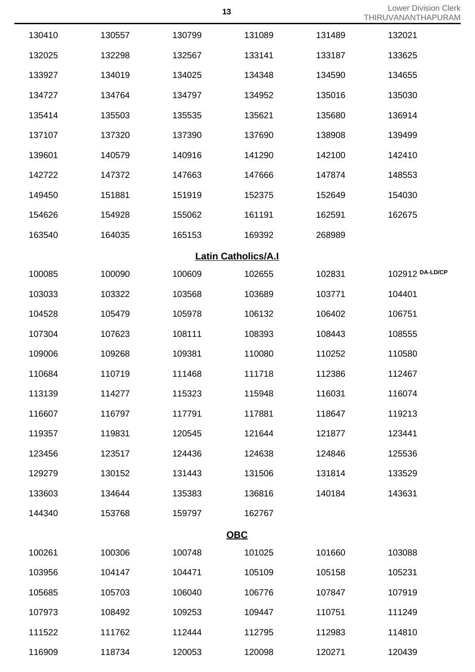| 13 | <b>Lower Division Clerk</b> |  |  |  |
|----|-----------------------------|--|--|--|
|    | THIRUVANANTHAPURAM          |  |  |  |

| 130410 | 130557 | 130799 | 131089                     | 131489 | 132021          |
|--------|--------|--------|----------------------------|--------|-----------------|
| 132025 | 132298 | 132567 | 133141                     | 133187 | 133625          |
| 133927 | 134019 | 134025 | 134348                     | 134590 | 134655          |
| 134727 | 134764 | 134797 | 134952                     | 135016 | 135030          |
| 135414 | 135503 | 135535 | 135621                     | 135680 | 136914          |
| 137107 | 137320 | 137390 | 137690                     | 138908 | 139499          |
| 139601 | 140579 | 140916 | 141290                     | 142100 | 142410          |
| 142722 | 147372 | 147663 | 147666                     | 147874 | 148553          |
| 149450 | 151881 | 151919 | 152375                     | 152649 | 154030          |
| 154626 | 154928 | 155062 | 161191                     | 162591 | 162675          |
| 163540 | 164035 | 165153 | 169392                     | 268989 |                 |
|        |        |        | <b>Latin Catholics/A.I</b> |        |                 |
| 100085 | 100090 | 100609 | 102655                     | 102831 | 102912 DA-LD/CP |
| 103033 | 103322 | 103568 | 103689                     | 103771 | 104401          |
| 104528 | 105479 | 105978 | 106132                     | 106402 | 106751          |
| 107304 | 107623 | 108111 | 108393                     | 108443 | 108555          |
| 109006 | 109268 | 109381 | 110080                     | 110252 | 110580          |
| 110684 | 110719 | 111468 | 111718                     | 112386 | 112467          |
| 113139 | 114277 | 115323 | 115948                     | 116031 | 116074          |
| 116607 | 116797 | 117791 | 117881                     | 118647 | 119213          |
| 119357 | 119831 | 120545 | 121644                     | 121877 | 123441          |
| 123456 | 123517 | 124436 | 124638                     | 124846 | 125536          |
| 129279 | 130152 | 131443 | 131506                     | 131814 | 133529          |
| 133603 | 134644 | 135383 | 136816                     | 140184 | 143631          |
| 144340 | 153768 | 159797 | 162767                     |        |                 |
|        |        |        | <b>OBC</b>                 |        |                 |
| 100261 | 100306 | 100748 | 101025                     | 101660 | 103088          |
| 103956 | 104147 | 104471 | 105109                     | 105158 | 105231          |
| 105685 | 105703 | 106040 | 106776                     | 107847 | 107919          |
| 107973 | 108492 | 109253 | 109447                     | 110751 | 111249          |
| 111522 | 111762 | 112444 | 112795                     | 112983 | 114810          |
| 116909 | 118734 | 120053 | 120098                     | 120271 | 120439          |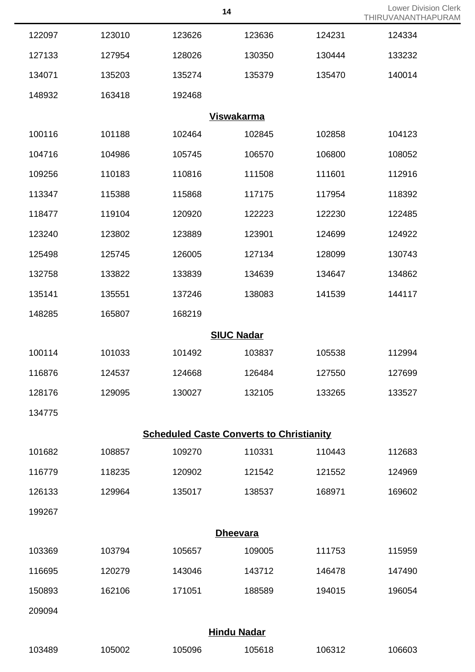| 14 | <b>Lower Division Clerk</b> |
|----|-----------------------------|
|    | THIRUVANANTHAPURAM          |

|        |        |                                                 |                    |        | THIRUVANANTH/ |
|--------|--------|-------------------------------------------------|--------------------|--------|---------------|
| 122097 | 123010 | 123626                                          | 123636             | 124231 | 124334        |
| 127133 | 127954 | 128026                                          | 130350             | 130444 | 133232        |
| 134071 | 135203 | 135274                                          | 135379             | 135470 | 140014        |
| 148932 | 163418 | 192468                                          |                    |        |               |
|        |        |                                                 | <b>Viswakarma</b>  |        |               |
| 100116 | 101188 | 102464                                          | 102845             | 102858 | 104123        |
| 104716 | 104986 | 105745                                          | 106570             | 106800 | 108052        |
| 109256 | 110183 | 110816                                          | 111508             | 111601 | 112916        |
| 113347 | 115388 | 115868                                          | 117175             | 117954 | 118392        |
| 118477 | 119104 | 120920                                          | 122223             | 122230 | 122485        |
| 123240 | 123802 | 123889                                          | 123901             | 124699 | 124922        |
| 125498 | 125745 | 126005                                          | 127134             | 128099 | 130743        |
| 132758 | 133822 | 133839                                          | 134639             | 134647 | 134862        |
| 135141 | 135551 | 137246                                          | 138083             | 141539 | 144117        |
| 148285 | 165807 | 168219                                          |                    |        |               |
|        |        |                                                 | <b>SIUC Nadar</b>  |        |               |
| 100114 | 101033 | 101492                                          | 103837             | 105538 | 112994        |
| 116876 | 124537 | 124668                                          | 126484             | 127550 | 127699        |
| 128176 | 129095 | 130027                                          | 132105             | 133265 | 133527        |
| 134775 |        |                                                 |                    |        |               |
|        |        | <b>Scheduled Caste Converts to Christianity</b> |                    |        |               |
| 101682 | 108857 | 109270                                          | 110331             | 110443 | 112683        |
| 116779 | 118235 | 120902                                          | 121542             | 121552 | 124969        |
| 126133 | 129964 | 135017                                          | 138537             | 168971 | 169602        |
| 199267 |        |                                                 |                    |        |               |
|        |        |                                                 | <b>Dheevara</b>    |        |               |
| 103369 | 103794 | 105657                                          | 109005             | 111753 | 115959        |
| 116695 | 120279 | 143046                                          | 143712             | 146478 | 147490        |
| 150893 | 162106 | 171051                                          | 188589             | 194015 | 196054        |
| 209094 |        |                                                 |                    |        |               |
|        |        |                                                 | <b>Hindu Nadar</b> |        |               |
| 103489 | 105002 | 105096                                          | 105618             | 106312 | 106603        |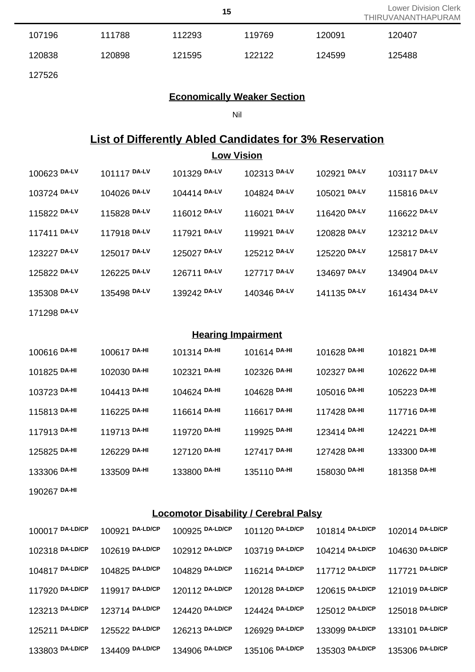| 15 | <b>Lower Division Clerk</b> |  |  |
|----|-----------------------------|--|--|
|    | THIRUVANANTHAPURAM          |  |  |

| 107196 | 111788 | 112293 | 119769 | 120091 | 120407 |  |
|--------|--------|--------|--------|--------|--------|--|
| 120838 | 120898 | 121595 | 122122 | 124599 | 125488 |  |
| 127526 |        |        |        |        |        |  |

### **Economically Weaker Section**

Nil

# **List of Differently Abled Candidates for 3% Reservation**

| <b>Low Vision</b> |              |              |                           |              |              |  |
|-------------------|--------------|--------------|---------------------------|--------------|--------------|--|
| 100623 DA-LV      | 101117 DA-LV | 101329 DA-LV | 102313 DA-LV              | 102921 DA-LV | 103117 DA-LV |  |
| 103724 DA-LV      | 104026 DA-LV | 104414 DA-LV | 104824 DA-LV              | 105021 DA-LV | 115816 DA-LV |  |
| 115822 DA-LV      | 115828 DA-LV | 116012 DA-LV | 116021 DA-LV              | 116420 DA-LV | 116622 DA-LV |  |
| 117411 DA-LV      | 117918 DA-LV | 117921 DA-LV | 119921 DA-LV              | 120828 DA-LV | 123212 DA-LV |  |
| 123227 DA-LV      | 125017 DA-LV | 125027 DA-LV | 125212 DA-LV              | 125220 DA-LV | 125817 DA-LV |  |
| 125822 DA-LV      | 126225 DA-LV | 126711 DA-LV | 127717 DA-LV              | 134697 DA-LV | 134904 DA-LV |  |
| 135308 DA-LV      | 135498 DA-LV | 139242 DA-LV | 140346 DA-LV              | 141135 DA-LV | 161434 DA-LV |  |
| 171298 DA-LV      |              |              |                           |              |              |  |
|                   |              |              | <b>Hearing Impairment</b> |              |              |  |
| 100616 DA-HI      | 100617 DA-HI | 101314 DA-HI | 101614 DA-HI              | 101628 DA-HI | 101821 DA-HI |  |
| 101825 DA-HI      | 102030 DA-HI | 102321 DA-HI | 102326 DA-HI              | 102327 DA-HI | 102622 DA-HI |  |
| 103723 DA-HI      | 104413 DA-HI | 104624 DA-HI | 104628 DA-HI              | 105016 DA-HI | 105223 DA-HI |  |
| 115813 DA-HI      | 116225 DA-HI | 116614 DA-HI | 116617 DA-HI              | 117428 DA-HI | 117716 DA-HI |  |
| 117913 DA-HI      | 119713 DA-HI | 119720 DA-HI | 119925 DA-HI              | 123414 DA-HI | 124221 DA-HI |  |
| 125825 DA-HI      | 126229 DA-HI | 127120 DA-HI | 127417 DA-HI              | 127428 DA-HI | 133300 DA-HI |  |
| 133306 DA-HI      | 133509 DA-HI | 133800 DA-HI | 135110 DA-HI              | 158030 DA-HI | 181358 DA-HI |  |
| 190267 DA-HI      |              |              |                           |              |              |  |

## **Locomotor Disability / Cerebral Palsy**

| 100017 DA-LD/CP | 100921 DA-LD/CP | 100925 DA-LD/CP | 101120 DA-LD/CP | 101814 DA-LD/CP | 102014 DA-LD/CP |
|-----------------|-----------------|-----------------|-----------------|-----------------|-----------------|
| 102318 DA-LD/CP | 102619 DA-LD/CP | 102912 DA-LD/CP | 103719 DA-LD/CP | 104214 DA-LD/CP | 104630 DA-LD/CP |
| 104817 DA-LD/CP | 104825 DA-LD/CP | 104829 DA-LD/CP | 116214 DA-LD/CP | 117712 DA-LD/CP | 117721 DA-LD/CP |
| 117920 DA-LD/CP | 119917 DA-LD/CP | 120112 DA-LD/CP | 120128 DA-LD/CP | 120615 DA-LD/CP | 121019 DA-LD/CP |
| 123213 DA-LD/CP | 123714 DA-LD/CP | 124420 DA-LD/CP | 124424 DA-LD/CP | 125012 DA-LD/CP | 125018 DA-LD/CP |
| 125211 DA-LD/CP | 125522 DA-LD/CP | 126213 DA-LD/CP | 126929 DA-LD/CP | 133099 DA-LD/CP | 133101 DA-LD/CP |
| 133803 DA-LD/CP | 134409 DA-LD/CP | 134906 DA-LD/CP | 135106 DA-LD/CP | 135303 DA-LD/CP | 135306 DA-LD/CP |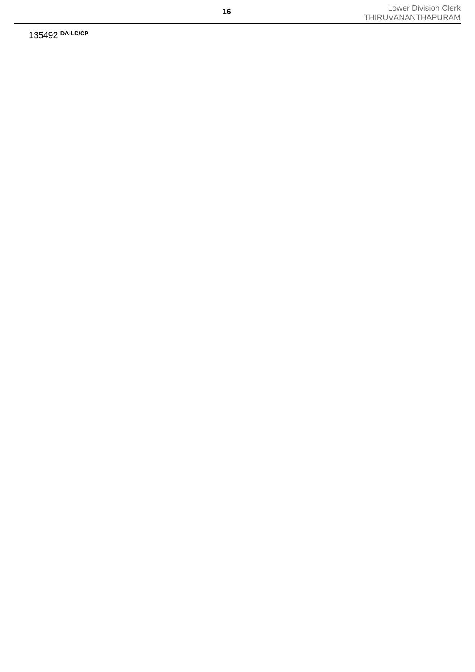135492 **DA-LD/CP**